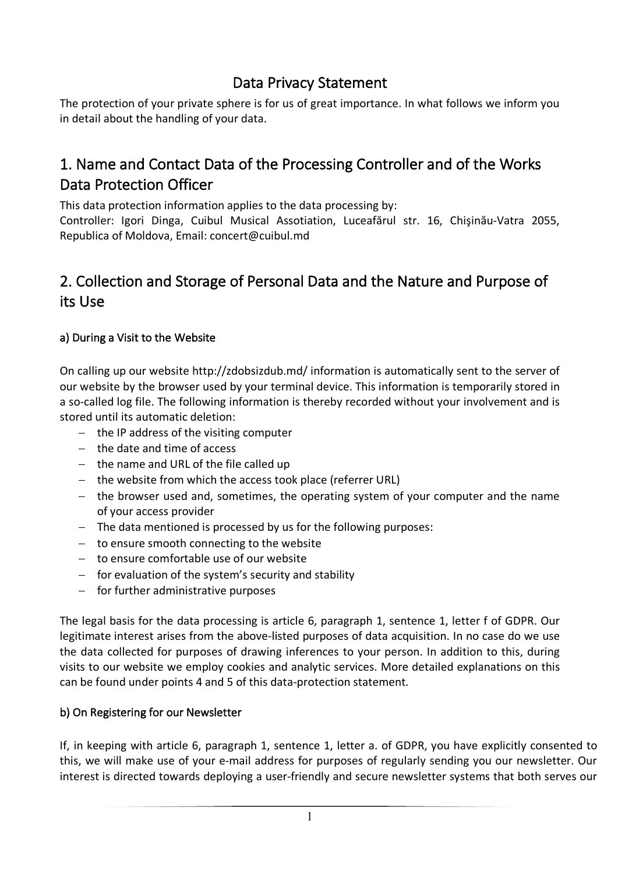### Data Privacy Statement

The protection of your private sphere is for us of great importance. In what follows we inform you in detail about the handling of your data.

## 1. Name and Contact Data of the Processing Controller and of the Works Data Protection Officer

This data protection information applies to the data processing by:

Controller: Igori Dinga, Cuibul Musical Assotiation, Luceafărul str. 16, Chişinău-Vatra 2055, Republica of Мoldova, Email: concert@cuibul.md

## 2. Collection and Storage of Personal Data and the Nature and Purpose of its Use

#### a) During a Visit to the Website

On calling up our website http://zdobsizdub.md/ information is automatically sent to the server of our website by the browser used by your terminal device. This information is temporarily stored in a so-called log file. The following information is thereby recorded without your involvement and is stored until its automatic deletion:

- the IP address of the visiting computer
- the date and time of access
- the name and URL of the file called up
- the website from which the access took place (referrer URL)
- the browser used and, sometimes, the operating system of your computer and the name of your access provider
- The data mentioned is processed by us for the following purposes:
- to ensure smooth connecting to the website
- to ensure comfortable use of our website
- for evaluation of the system's security and stability
- for further administrative purposes

The legal basis for the data processing is article 6, paragraph 1, sentence 1, letter f of GDPR. Our legitimate interest arises from the above-listed purposes of data acquisition. In no case do we use the data collected for purposes of drawing inferences to your person. In addition to this, during visits to our website we employ cookies and analytic services. More detailed explanations on this can be found under points 4 and 5 of this data-protection statement.

#### b) On Registering for our Newsletter

If, in keeping with article 6, paragraph 1, sentence 1, letter a. of GDPR, you have explicitly consented to this, we will make use of your e-mail address for purposes of regularly sending you our newsletter. Our interest is directed towards deploying a user-friendly and secure newsletter systems that both serves our

1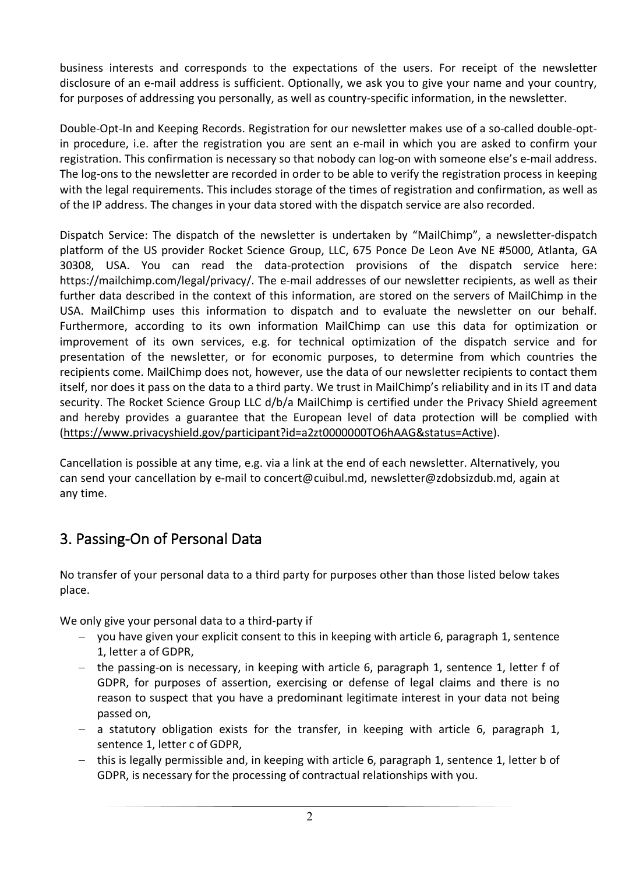business interests and corresponds to the expectations of the users. For receipt of the newsletter disclosure of an e-mail address is sufficient. Optionally, we ask you to give your name and your country, for purposes of addressing you personally, as well as country-specific information, in the newsletter.

Double-Opt-In and Keeping Records. Registration for our newsletter makes use of a so-called double-optin procedure, i.e. after the registration you are sent an e-mail in which you are asked to confirm your registration. This confirmation is necessary so that nobody can log-on with someone else's e-mail address. The log-ons to the newsletter are recorded in order to be able to verify the registration process in keeping with the legal requirements. This includes storage of the times of registration and confirmation, as well as of the IP address. The changes in your data stored with the dispatch service are also recorded.

Dispatch Service: The dispatch of the newsletter is undertaken by "MailChimp", a newsletter-dispatch platform of the US provider Rocket Science Group, LLC, 675 Ponce De Leon Ave NE #5000, Atlanta, GA 30308, USA. You can read the data-protection provisions of the dispatch service here: https://mailchimp.com/legal/privacy/. The e-mail addresses of our newsletter recipients, as well as their further data described in the context of this information, are stored on the servers of MailChimp in the USA. MailChimp uses this information to dispatch and to evaluate the newsletter on our behalf. Furthermore, according to its own information MailChimp can use this data for optimization or improvement of its own services, e.g. for technical optimization of the dispatch service and for presentation of the newsletter, or for economic purposes, to determine from which countries the recipients come. MailChimp does not, however, use the data of our newsletter recipients to contact them itself, nor does it pass on the data to a third party. We trust in MailChimp's reliability and in its IT and data security. The Rocket Science Group LLC d/b/a MailChimp is certified under the Privacy Shield agreement and hereby provides a guarantee that the European level of data protection will be complied with (https://www.privacyshield.gov/participant?id=a2zt0000000TO6hAAG&status=Active).

Cancellation is possible at any time, e.g. via a link at the end of each newsletter. Alternatively, you can send your cancellation by e-mail to concert@cuibul.md, newsletter@zdobsizdub.md, again at any time.

### 3. Passing-On of Personal Data

No transfer of your personal data to a third party for purposes other than those listed below takes place.

We only give your personal data to a third-party if

- you have given your explicit consent to this in keeping with article 6, paragraph 1, sentence 1, letter a of GDPR,
- the passing-on is necessary, in keeping with article 6, paragraph 1, sentence 1, letter f of GDPR, for purposes of assertion, exercising or defense of legal claims and there is no reason to suspect that you have a predominant legitimate interest in your data not being passed on,
- $-$  a statutory obligation exists for the transfer, in keeping with article 6, paragraph 1, sentence 1, letter c of GDPR,
- $-$  this is legally permissible and, in keeping with article 6, paragraph 1, sentence 1, letter b of GDPR, is necessary for the processing of contractual relationships with you.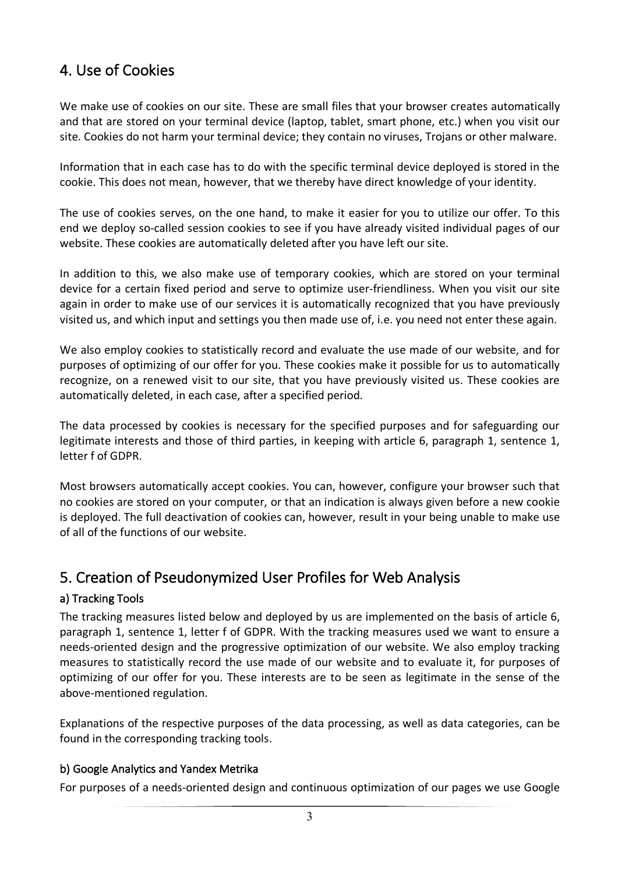## 4. Use of Cookies

We make use of cookies on our site. These are small files that your browser creates automatically and that are stored on your terminal device (laptop, tablet, smart phone, etc.) when you visit our site. Cookies do not harm your terminal device; they contain no viruses, Trojans or other malware.

Information that in each case has to do with the specific terminal device deployed is stored in the cookie. This does not mean, however, that we thereby have direct knowledge of your identity.

The use of cookies serves, on the one hand, to make it easier for you to utilize our offer. To this end we deploy so-called session cookies to see if you have already visited individual pages of our website. These cookies are automatically deleted after you have left our site.

In addition to this, we also make use of temporary cookies, which are stored on your terminal device for a certain fixed period and serve to optimize user-friendliness. When you visit our site again in order to make use of our services it is automatically recognized that you have previously visited us, and which input and settings you then made use of, i.e. you need not enter these again.

We also employ cookies to statistically record and evaluate the use made of our website, and for purposes of optimizing of our offer for you. These cookies make it possible for us to automatically recognize, on a renewed visit to our site, that you have previously visited us. These cookies are automatically deleted, in each case, after a specified period.

The data processed by cookies is necessary for the specified purposes and for safeguarding our legitimate interests and those of third parties, in keeping with article 6, paragraph 1, sentence 1, letter f of GDPR.

Most browsers automatically accept cookies. You can, however, configure your browser such that no cookies are stored on your computer, or that an indication is always given before a new cookie is deployed. The full deactivation of cookies can, however, result in your being unable to make use of all of the functions of our website.

### 5. Creation of Pseudonymized User Profiles for Web Analysis

#### a) Tracking Tools

The tracking measures listed below and deployed by us are implemented on the basis of article 6, paragraph 1, sentence 1, letter f of GDPR. With the tracking measures used we want to ensure a needs-oriented design and the progressive optimization of our website. We also employ tracking measures to statistically record the use made of our website and to evaluate it, for purposes of optimizing of our offer for you. These interests are to be seen as legitimate in the sense of the above-mentioned regulation.

Explanations of the respective purposes of the data processing, as well as data categories, can be found in the corresponding tracking tools.

#### b) Google Analytics and Yandex Metrika

For purposes of a needs-oriented design and continuous optimization of our pages we use Google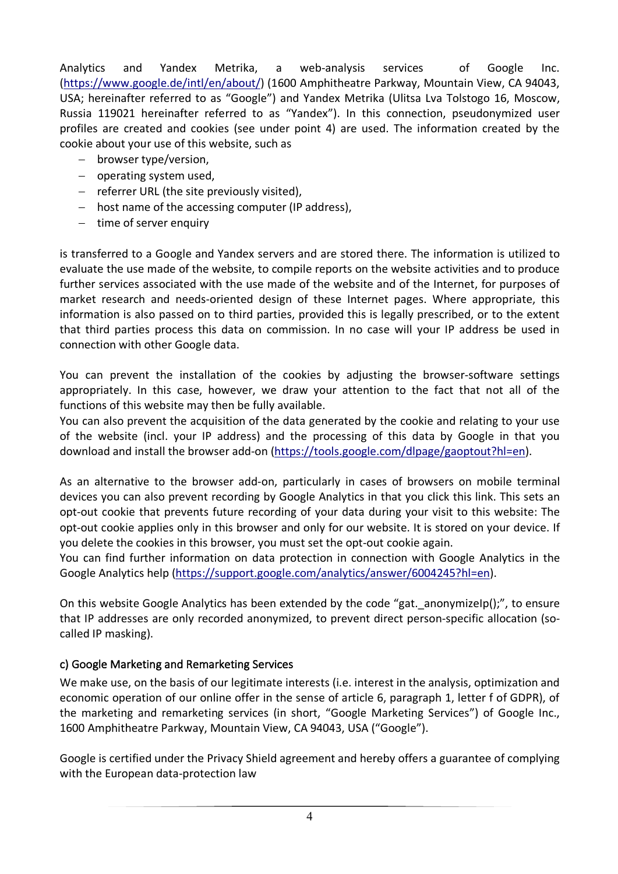Analytics and Yandex Metrika, a web-analysis services of Google Inc. (https://www.google.de/intl/en/about/) (1600 Amphitheatre Parkway, Mountain View, CA 94043, USA; hereinafter referred to as "Google") and Yandex Metrika (Ulitsa Lva Tolstogo 16, Moscow, Russia 119021 hereinafter referred to as "Yandex"). In this connection, pseudonymized user profiles are created and cookies (see under point 4) are used. The information created by the cookie about your use of this website, such as

- browser type/version.
- operating system used,
- referrer URL (the site previously visited),
- host name of the accessing computer (IP address),
- time of server enquiry

is transferred to a Google and Yandex servers and are stored there. The information is utilized to evaluate the use made of the website, to compile reports on the website activities and to produce further services associated with the use made of the website and of the Internet, for purposes of market research and needs-oriented design of these Internet pages. Where appropriate, this information is also passed on to third parties, provided this is legally prescribed, or to the extent that third parties process this data on commission. In no case will your IP address be used in connection with other Google data.

You can prevent the installation of the cookies by adjusting the browser-software settings appropriately. In this case, however, we draw your attention to the fact that not all of the functions of this website may then be fully available.

You can also prevent the acquisition of the data generated by the cookie and relating to your use of the website (incl. your IP address) and the processing of this data by Google in that you download and install the browser add-on (https://tools.google.com/dlpage/gaoptout?hl=en).

As an alternative to the browser add-on, particularly in cases of browsers on mobile terminal devices you can also prevent recording by Google Analytics in that you click this link. This sets an opt-out cookie that prevents future recording of your data during your visit to this website: The opt-out cookie applies only in this browser and only for our website. It is stored on your device. If you delete the cookies in this browser, you must set the opt-out cookie again.

You can find further information on data protection in connection with Google Analytics in the Google Analytics help (https://support.google.com/analytics/answer/6004245?hl=en).

On this website Google Analytics has been extended by the code "gat. anonymizeIp();", to ensure that IP addresses are only recorded anonymized, to prevent direct person-specific allocation (socalled IP masking).

#### c) Google Marketing and Remarketing Services

We make use, on the basis of our legitimate interests (i.e. interest in the analysis, optimization and economic operation of our online offer in the sense of article 6, paragraph 1, letter f of GDPR), of the marketing and remarketing services (in short, "Google Marketing Services") of Google Inc., 1600 Amphitheatre Parkway, Mountain View, CA 94043, USA ("Google").

Google is certified under the Privacy Shield agreement and hereby offers a guarantee of complying with the European data-protection law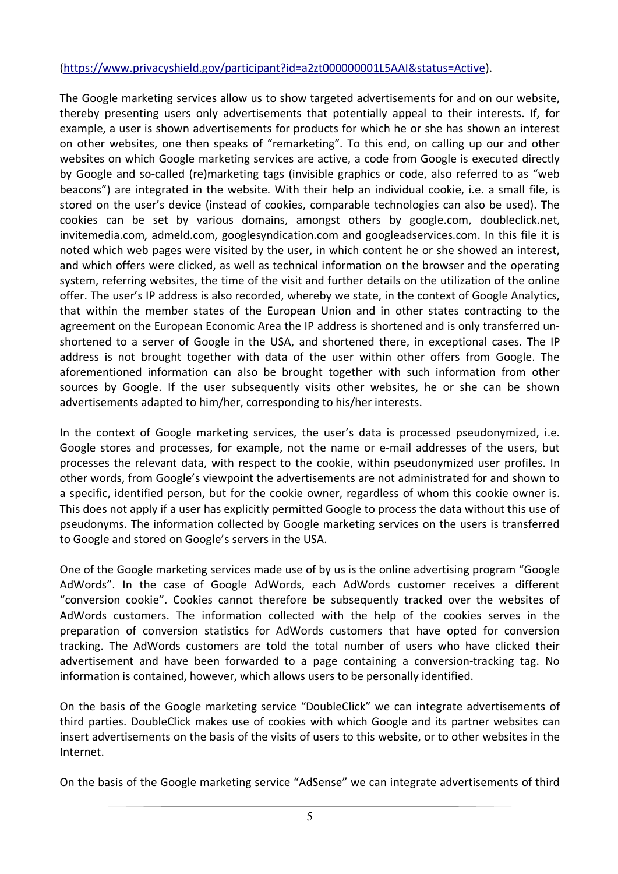#### (https://www.privacyshield.gov/participant?id=a2zt000000001L5AAI&status=Active).

The Google marketing services allow us to show targeted advertisements for and on our website, thereby presenting users only advertisements that potentially appeal to their interests. If, for example, a user is shown advertisements for products for which he or she has shown an interest on other websites, one then speaks of "remarketing". To this end, on calling up our and other websites on which Google marketing services are active, a code from Google is executed directly by Google and so-called (re)marketing tags (invisible graphics or code, also referred to as "web beacons") are integrated in the website. With their help an individual cookie, i.e. a small file, is stored on the user's device (instead of cookies, comparable technologies can also be used). The cookies can be set by various domains, amongst others by google.com, doubleclick.net, invitemedia.com, admeld.com, googlesyndication.com and googleadservices.com. In this file it is noted which web pages were visited by the user, in which content he or she showed an interest, and which offers were clicked, as well as technical information on the browser and the operating system, referring websites, the time of the visit and further details on the utilization of the online offer. The user's IP address is also recorded, whereby we state, in the context of Google Analytics, that within the member states of the European Union and in other states contracting to the agreement on the European Economic Area the IP address is shortened and is only transferred unshortened to a server of Google in the USA, and shortened there, in exceptional cases. The IP address is not brought together with data of the user within other offers from Google. The aforementioned information can also be brought together with such information from other sources by Google. If the user subsequently visits other websites, he or she can be shown advertisements adapted to him/her, corresponding to his/her interests.

In the context of Google marketing services, the user's data is processed pseudonymized, i.e. Google stores and processes, for example, not the name or e-mail addresses of the users, but processes the relevant data, with respect to the cookie, within pseudonymized user profiles. In other words, from Google's viewpoint the advertisements are not administrated for and shown to a specific, identified person, but for the cookie owner, regardless of whom this cookie owner is. This does not apply if a user has explicitly permitted Google to process the data without this use of pseudonyms. The information collected by Google marketing services on the users is transferred to Google and stored on Google's servers in the USA.

One of the Google marketing services made use of by us is the online advertising program "Google AdWords". In the case of Google AdWords, each AdWords customer receives a different "conversion cookie". Cookies cannot therefore be subsequently tracked over the websites of AdWords customers. The information collected with the help of the cookies serves in the preparation of conversion statistics for AdWords customers that have opted for conversion tracking. The AdWords customers are told the total number of users who have clicked their advertisement and have been forwarded to a page containing a conversion-tracking tag. No information is contained, however, which allows users to be personally identified.

On the basis of the Google marketing service "DoubleClick" we can integrate advertisements of third parties. DoubleClick makes use of cookies with which Google and its partner websites can insert advertisements on the basis of the visits of users to this website, or to other websites in the Internet.

On the basis of the Google marketing service "AdSense" we can integrate advertisements of third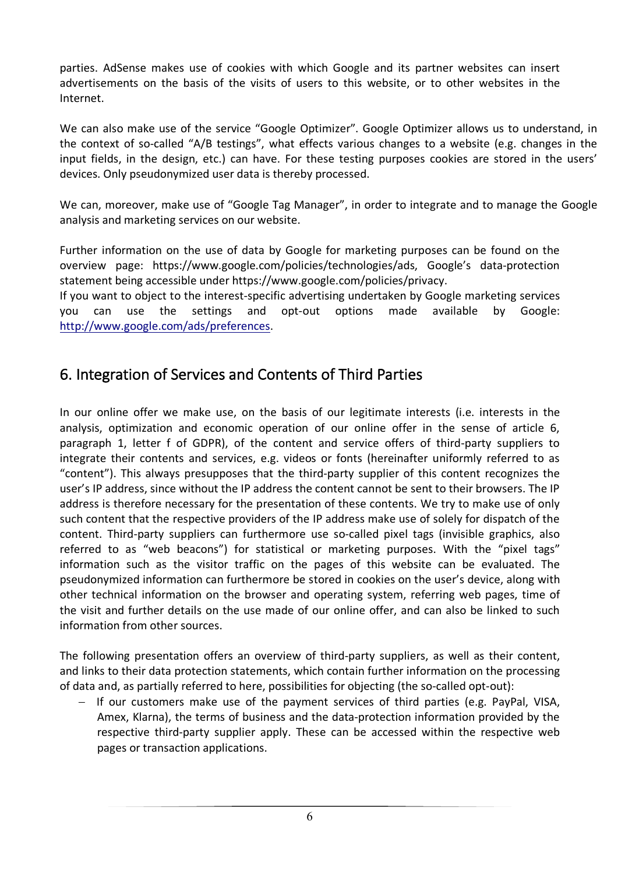parties. AdSense makes use of cookies with which Google and its partner websites can insert advertisements on the basis of the visits of users to this website, or to other websites in the Internet.

We can also make use of the service "Google Optimizer". Google Optimizer allows us to understand, in the context of so-called "A/B testings", what effects various changes to a website (e.g. changes in the input fields, in the design, etc.) can have. For these testing purposes cookies are stored in the users' devices. Only pseudonymized user data is thereby processed.

We can, moreover, make use of "Google Tag Manager", in order to integrate and to manage the Google analysis and marketing services on our website.

Further information on the use of data by Google for marketing purposes can be found on the overview page: https://www.google.com/policies/technologies/ads, Google's data-protection statement being accessible under https://www.google.com/policies/privacy.

If you want to object to the interest-specific advertising undertaken by Google marketing services you can use the settings and opt-out options made available by Google: http://www.google.com/ads/preferences.

### 6. Integration of Services and Contents of Third Parties

In our online offer we make use, on the basis of our legitimate interests (i.e. interests in the analysis, optimization and economic operation of our online offer in the sense of article 6, paragraph 1, letter f of GDPR), of the content and service offers of third-party suppliers to integrate their contents and services, e.g. videos or fonts (hereinafter uniformly referred to as "content"). This always presupposes that the third-party supplier of this content recognizes the user's IP address, since without the IP address the content cannot be sent to their browsers. The IP address is therefore necessary for the presentation of these contents. We try to make use of only such content that the respective providers of the IP address make use of solely for dispatch of the content. Third-party suppliers can furthermore use so-called pixel tags (invisible graphics, also referred to as "web beacons") for statistical or marketing purposes. With the "pixel tags" information such as the visitor traffic on the pages of this website can be evaluated. The pseudonymized information can furthermore be stored in cookies on the user's device, along with other technical information on the browser and operating system, referring web pages, time of the visit and further details on the use made of our online offer, and can also be linked to such information from other sources.

The following presentation offers an overview of third-party suppliers, as well as their content, and links to their data protection statements, which contain further information on the processing of data and, as partially referred to here, possibilities for objecting (the so-called opt-out):

- If our customers make use of the payment services of third parties (e.g. PayPal, VISA, Amex, Klarna), the terms of business and the data-protection information provided by the respective third-party supplier apply. These can be accessed within the respective web pages or transaction applications.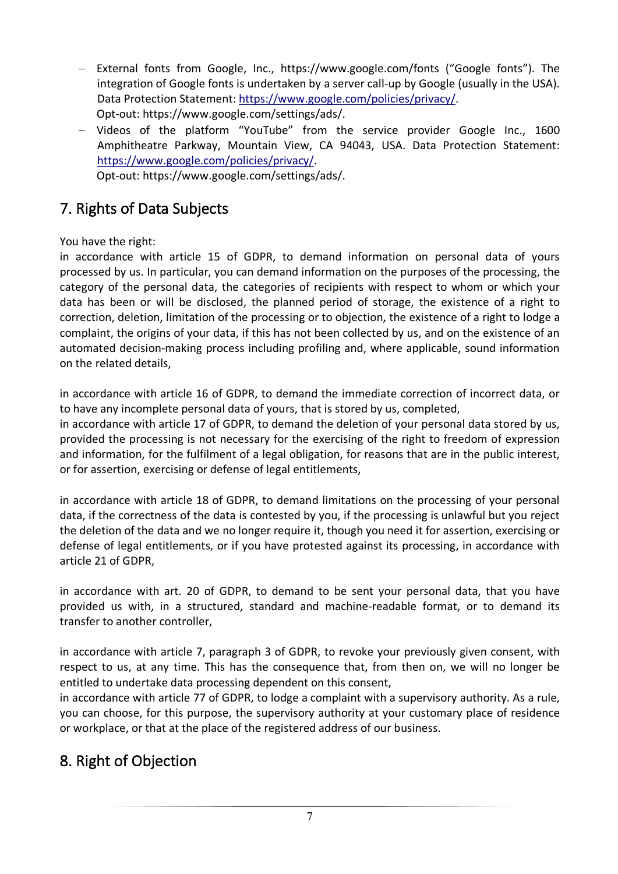- External fonts from Google, Inc., https://www.google.com/fonts ("Google fonts"). The integration of Google fonts is undertaken by a server call-up by Google (usually in the USA). Data Protection Statement: https://www.google.com/policies/privacy/. Opt-out: https://www.google.com/settings/ads/.
- Videos of the platform "YouTube" from the service provider Google Inc., 1600 Amphitheatre Parkway, Mountain View, CA 94043, USA. Data Protection Statement: https://www.google.com/policies/privacy/.

Opt-out: https://www.google.com/settings/ads/.

## 7. Rights of Data Subjects

You have the right:

in accordance with article 15 of GDPR, to demand information on personal data of yours processed by us. In particular, you can demand information on the purposes of the processing, the category of the personal data, the categories of recipients with respect to whom or which your data has been or will be disclosed, the planned period of storage, the existence of a right to correction, deletion, limitation of the processing or to objection, the existence of a right to lodge a complaint, the origins of your data, if this has not been collected by us, and on the existence of an automated decision-making process including profiling and, where applicable, sound information on the related details,

in accordance with article 16 of GDPR, to demand the immediate correction of incorrect data, or to have any incomplete personal data of yours, that is stored by us, completed,

in accordance with article 17 of GDPR, to demand the deletion of your personal data stored by us, provided the processing is not necessary for the exercising of the right to freedom of expression and information, for the fulfilment of a legal obligation, for reasons that are in the public interest, or for assertion, exercising or defense of legal entitlements,

in accordance with article 18 of GDPR, to demand limitations on the processing of your personal data, if the correctness of the data is contested by you, if the processing is unlawful but you reject the deletion of the data and we no longer require it, though you need it for assertion, exercising or defense of legal entitlements, or if you have protested against its processing, in accordance with article 21 of GDPR,

in accordance with art. 20 of GDPR, to demand to be sent your personal data, that you have provided us with, in a structured, standard and machine-readable format, or to demand its transfer to another controller,

in accordance with article 7, paragraph 3 of GDPR, to revoke your previously given consent, with respect to us, at any time. This has the consequence that, from then on, we will no longer be entitled to undertake data processing dependent on this consent,

in accordance with article 77 of GDPR, to lodge a complaint with a supervisory authority. As a rule, you can choose, for this purpose, the supervisory authority at your customary place of residence or workplace, or that at the place of the registered address of our business.

# 8. Right of Objection